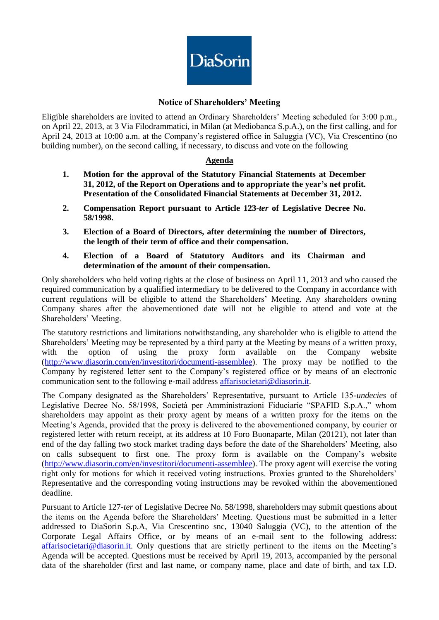

## **Notice of Shareholders' Meeting**

Eligible shareholders are invited to attend an Ordinary Shareholders' Meeting scheduled for 3:00 p.m., on April 22, 2013, at 3 Via Filodrammatici, in Milan (at Mediobanca S.p.A.), on the first calling, and for April 24, 2013 at 10:00 a.m. at the Company's registered office in Saluggia (VC), Via Crescentino (no building number), on the second calling, if necessary, to discuss and vote on the following

## **Agenda**

- **1. Motion for the approval of the Statutory Financial Statements at December 31, 2012, of the Report on Operations and to appropriate the year's net profit. Presentation of the Consolidated Financial Statements at December 31, 2012.**
- **2. Compensation Report pursuant to Article 123-***ter* **of Legislative Decree No. 58/1998.**
- **3. Election of a Board of Directors, after determining the number of Directors, the length of their term of office and their compensation.**
- **4. Election of a Board of Statutory Auditors and its Chairman and determination of the amount of their compensation.**

Only shareholders who held voting rights at the close of business on April 11, 2013 and who caused the required communication by a qualified intermediary to be delivered to the Company in accordance with current regulations will be eligible to attend the Shareholders' Meeting. Any shareholders owning Company shares after the abovementioned date will not be eligible to attend and vote at the Shareholders' Meeting.

The statutory restrictions and limitations notwithstanding, any shareholder who is eligible to attend the Shareholders' Meeting may be represented by a third party at the Meeting by means of a written proxy, with the option of using the proxy form available on the Company website [\(http://www.diasorin.com/en/investitori/documenti-assemblee\)](http://www.diasorin.com/en/investitori/documenti-assemblee). The proxy may be notified to the Company by registered letter sent to the Company's registered office or by means of an electronic communication sent to the following e-mail address [affarisocietari@diasorin.it.](mailto:affarisocietari@diasorin.it)

The Company designated as the Shareholders' Representative, pursuant to Article 135-*undecies* of Legislative Decree No. 58/1998, Società per Amministrazioni Fiduciarie "SPAFID S.p.A.," whom shareholders may appoint as their proxy agent by means of a written proxy for the items on the Meeting's Agenda, provided that the proxy is delivered to the abovementioned company, by courier or registered letter with return receipt, at its address at 10 Foro Buonaparte, Milan (20121), not later than end of the day falling two stock market trading days before the date of the Shareholders' Meeting, also on calls subsequent to first one. The proxy form is available on the Company's website [\(http://www.diasorin.com/en/investitori/documenti-assemblee\)](http://www.diasorin.com/en/investitori/documenti-assemblee). The proxy agent will exercise the voting right only for motions for which it received voting instructions. Proxies granted to the Shareholders' Representative and the corresponding voting instructions may be revoked within the abovementioned deadline.

Pursuant to Article 127*-ter* of Legislative Decree No. 58/1998, shareholders may submit questions about the items on the Agenda before the Shareholders' Meeting. Questions must be submitted in a letter addressed to DiaSorin S.p.A, Via Crescentino snc, 13040 Saluggia (VC), to the attention of the Corporate Legal Affairs Office, or by means of an e-mail sent to the following address: [affarisocietari@diasorin.it.](mailto:affarisocietari@diasorin.it) Only questions that are strictly pertinent to the items on the Meeting's Agenda will be accepted. Questions must be received by April 19, 2013, accompanied by the personal data of the shareholder (first and last name, or company name, place and date of birth, and tax I.D.